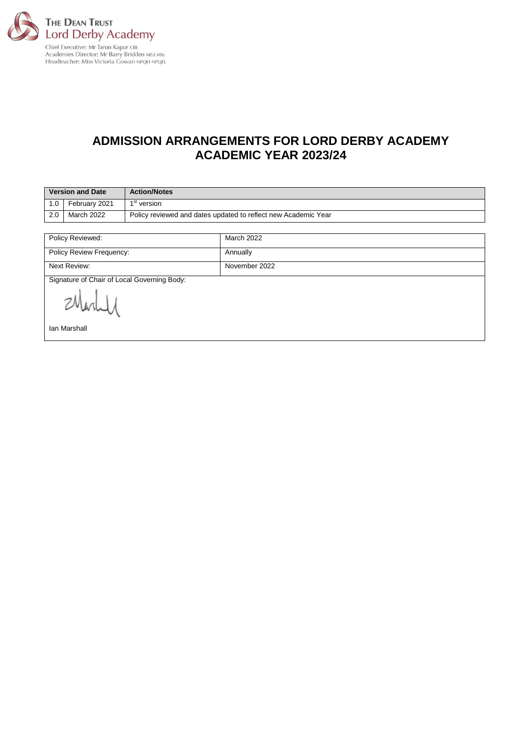

# **ADMISSION ARRANGEMENTS FOR LORD DERBY ACADEMY ACADEMIC YEAR 2023/24**

| <b>Version and Date</b> |               | <b>Action/Notes</b>                                            |
|-------------------------|---------------|----------------------------------------------------------------|
| 1.0                     | February 2021 | 1 <sup>st</sup> version                                        |
| 2.0                     | March 2022    | Policy reviewed and dates updated to reflect new Academic Year |

| Policy Reviewed:                            | <b>March 2022</b> |  |  |  |
|---------------------------------------------|-------------------|--|--|--|
| Policy Review Frequency:                    | Annually          |  |  |  |
| Next Review:                                | November 2022     |  |  |  |
| Signature of Chair of Local Governing Body: |                   |  |  |  |
| Ovasuer                                     |                   |  |  |  |
| Ian Marshall                                |                   |  |  |  |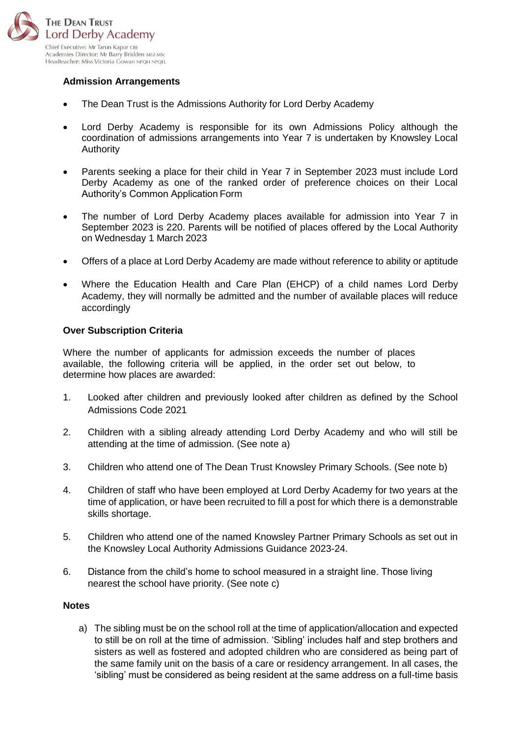

## **Admission Arrangements**

- The Dean Trust is the Admissions Authority for Lord Derby Academy
- Lord Derby Academy is responsible for its own Admissions Policy although the coordination of admissions arrangements into Year 7 is undertaken by Knowsley Local Authority
- Parents seeking a place for their child in Year 7 in September 2023 must include Lord Derby Academy as one of the ranked order of preference choices on their Local Authority's Common Application Form
- The number of Lord Derby Academy places available for admission into Year 7 in September 2023 is 220. Parents will be notified of places offered by the Local Authority on Wednesday 1 March 2023
- Offers of a place at Lord Derby Academy are made without reference to ability or aptitude
- Where the Education Health and Care Plan (EHCP) of a child names Lord Derby Academy, they will normally be admitted and the number of available places will reduce accordingly

#### **Over Subscription Criteria**

Where the number of applicants for admission exceeds the number of places available, the following criteria will be applied, in the order set out below, to determine how places are awarded:

- 1. Looked after children and previously looked after children as defined by the School Admissions Code 2021
- 2. Children with a sibling already attending Lord Derby Academy and who will still be attending at the time of admission. (See note a)
- 3. Children who attend one of The Dean Trust Knowsley Primary Schools. (See note b)
- 4. Children of staff who have been employed at Lord Derby Academy for two years at the time of application, or have been recruited to fill a post for which there is a demonstrable skills shortage.
- 5. Children who attend one of the named Knowsley Partner Primary Schools as set out in the Knowsley Local Authority Admissions Guidance 2023-24.
- 6. Distance from the child's home to school measured in a straight line. Those living nearest the school have priority. (See note c)

#### **Notes**

a) The sibling must be on the school roll at the time of application/allocation and expected to still be on roll at the time of admission. 'Sibling' includes half and step brothers and sisters as well as fostered and adopted children who are considered as being part of the same family unit on the basis of a care or residency arrangement. In all cases, the 'sibling' must be considered as being resident at the same address on a full-time basis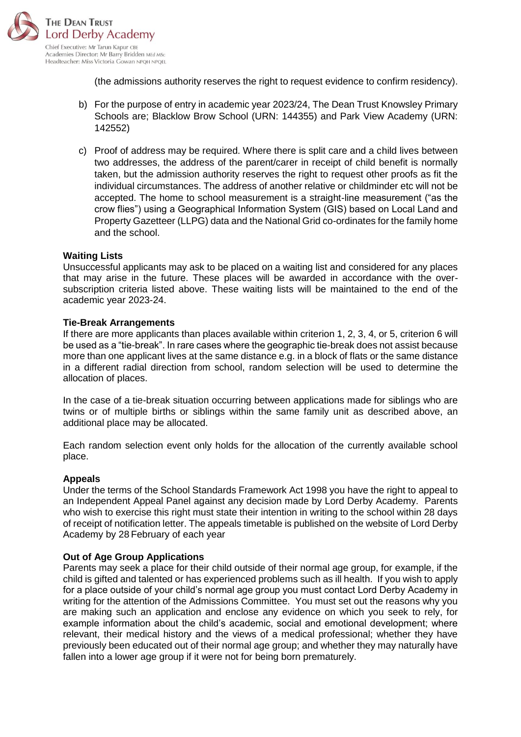

(the admissions authority reserves the right to request evidence to confirm residency).

- b) For the purpose of entry in academic year 2023/24, The Dean Trust Knowsley Primary Schools are; Blacklow Brow School (URN: 144355) and Park View Academy (URN: 142552)
- c) Proof of address may be required. Where there is split care and a child lives between two addresses, the address of the parent/carer in receipt of child benefit is normally taken, but the admission authority reserves the right to request other proofs as fit the individual circumstances. The address of another relative or childminder etc will not be accepted. The home to school measurement is a straight-line measurement ("as the crow flies") using a Geographical Information System (GIS) based on Local Land and Property Gazetteer (LLPG) data and the National Grid co-ordinates for the family home and the school.

## **Waiting Lists**

Unsuccessful applicants may ask to be placed on a waiting list and considered for any places that may arise in the future. These places will be awarded in accordance with the oversubscription criteria listed above. These waiting lists will be maintained to the end of the academic year 2023-24.

## **Tie-Break Arrangements**

If there are more applicants than places available within criterion 1, 2, 3, 4, or 5, criterion 6 will be used as a "tie-break". In rare cases where the geographic tie-break does not assist because more than one applicant lives at the same distance e.g. in a block of flats or the same distance in a different radial direction from school, random selection will be used to determine the allocation of places.

In the case of a tie-break situation occurring between applications made for siblings who are twins or of multiple births or siblings within the same family unit as described above, an additional place may be allocated.

Each random selection event only holds for the allocation of the currently available school place.

#### **Appeals**

Under the terms of the School Standards Framework Act 1998 you have the right to appeal to an Independent Appeal Panel against any decision made by Lord Derby Academy. Parents who wish to exercise this right must state their intention in writing to the school within 28 days of receipt of notification letter. The appeals timetable is published on the website of Lord Derby Academy by 28 February of each year

#### **Out of Age Group Applications**

Parents may seek a place for their child outside of their normal age group, for example, if the child is gifted and talented or has experienced problems such as ill health. If you wish to apply for a place outside of your child's normal age group you must contact Lord Derby Academy in writing for the attention of the Admissions Committee. You must set out the reasons why you are making such an application and enclose any evidence on which you seek to rely, for example information about the child's academic, social and emotional development; where relevant, their medical history and the views of a medical professional; whether they have previously been educated out of their normal age group; and whether they may naturally have fallen into a lower age group if it were not for being born prematurely.